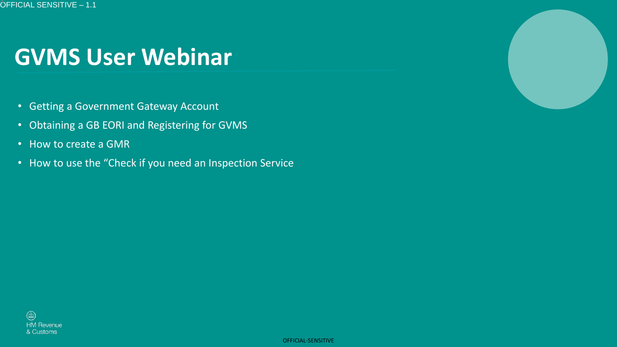# **GVMS User Webinar**

- Getting a Government Gateway Account
- Obtaining a GB EORI and Registering for GVMS
- How to create a GMR
- How to use the "Check if you need an Inspection Service



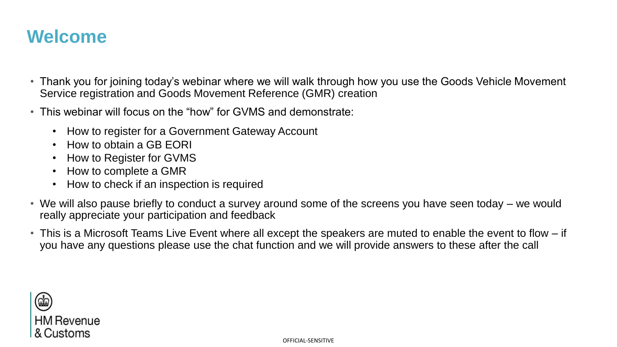# **Welcome**

- Thank you for joining today's webinar where we will walk through how you use the Goods Vehicle Movement Service registration and Goods Movement Reference (GMR) creation
- This webinar will focus on the "how" for GVMS and demonstrate:
	- How to register for a Government Gateway Account
	- How to obtain a GB EORI
	- How to Register for GVMS
	- How to complete a GMR
	- How to check if an inspection is required
- We will also pause briefly to conduct a survey around some of the screens you have seen today we would really appreciate your participation and feedback
- This is a Microsoft Teams Live Event where all except the speakers are muted to enable the event to flow if you have any questions please use the chat function and we will provide answers to these after the call

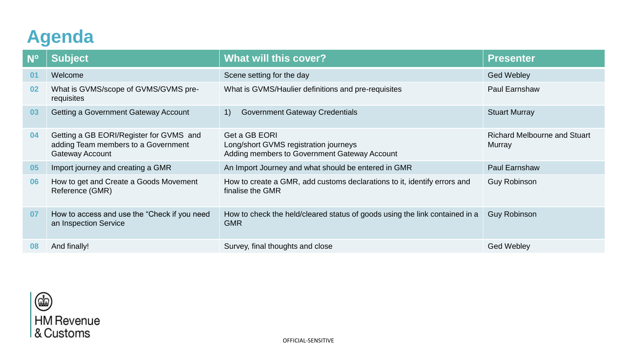# **Agenda**

| <b>N°</b> | <b>Subject</b>                                                                                           | <b>What will this cover?</b>                                                                           | <b>Presenter</b>                              |
|-----------|----------------------------------------------------------------------------------------------------------|--------------------------------------------------------------------------------------------------------|-----------------------------------------------|
| 01        | Welcome                                                                                                  | Scene setting for the day                                                                              | <b>Ged Webley</b>                             |
| 02        | What is GVMS/scope of GVMS/GVMS pre-<br>requisites                                                       | What is GVMS/Haulier definitions and pre-requisites                                                    | <b>Paul Earnshaw</b>                          |
| 03        | <b>Getting a Government Gateway Account</b>                                                              | <b>Government Gateway Credentials</b><br>$\left( \begin{matrix} 1 \end{matrix} \right)$                | <b>Stuart Murray</b>                          |
| 04        | Getting a GB EORI/Register for GVMS and<br>adding Team members to a Government<br><b>Gateway Account</b> | Get a GB EORI<br>Long/short GVMS registration journeys<br>Adding members to Government Gateway Account | <b>Richard Melbourne and Stuart</b><br>Murray |
| 05        | Import journey and creating a GMR                                                                        | An Import Journey and what should be entered in GMR                                                    | <b>Paul Earnshaw</b>                          |
| 06        | How to get and Create a Goods Movement<br>Reference (GMR)                                                | How to create a GMR, add customs declarations to it, identify errors and<br>finalise the GMR           | <b>Guy Robinson</b>                           |
| 07        | How to access and use the "Check if you need<br>an Inspection Service                                    | How to check the held/cleared status of goods using the link contained in a<br><b>GMR</b>              | <b>Guy Robinson</b>                           |
| 08        | And finally!                                                                                             | Survey, final thoughts and close                                                                       | <b>Ged Webley</b>                             |

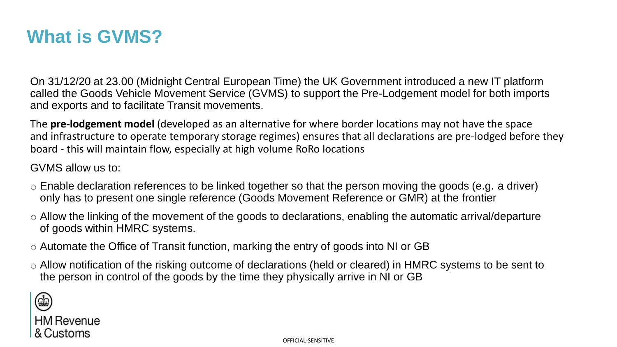# **What is GVMS?**

On 31/12/20 at 23.00 (Midnight Central European Time) the UK Government introduced a new IT platform called the Goods Vehicle Movement Service (GVMS) to support the Pre-Lodgement model for both imports and exports and to facilitate Transit movements.

The **pre-lodgement model** (developed as an alternative for where border locations may not have the space and infrastructure to operate temporary storage regimes) ensures that all declarations are pre-lodged before they board - this will maintain flow, especially at high volume RoRo locations

GVMS allow us to:

- $\circ$  Enable declaration references to be linked together so that the person moving the goods (e.g. a driver) only has to present one single reference (Goods Movement Reference or GMR) at the frontier
- $\circ$  Allow the linking of the movement of the goods to declarations, enabling the automatic arrival/departure of goods within HMRC systems.
- o Automate the Office of Transit function, marking the entry of goods into NI or GB
- o Allow notification of the risking outcome of declarations (held or cleared) in HMRC systems to be sent to the person in control of the goods by the time they physically arrive in NI or GB

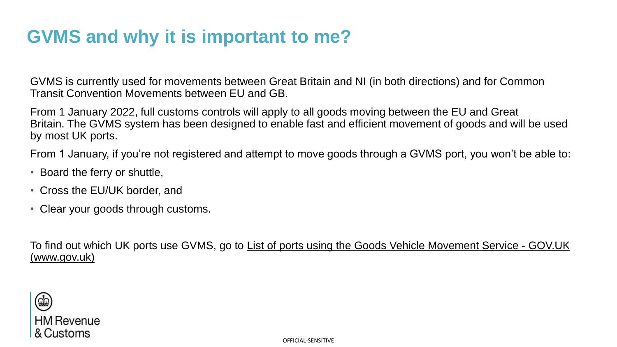# **GVMS and why it is important to me?**

GVMS is currently used for movements between Great Britain and NI (in both directions) and for Common Transit Convention Movements between EU and GB.

From 1 January 2022, full customs controls will apply to all goods moving between the EU and Great Britain. The GVMS system has been designed to enable fast and efficient movement of goods and will be used by most UK ports.

From 1 January, if you're not registered and attempt to move goods through a GVMS port, you won't be able to:

- Board the ferry or shuttle,
- Cross the EU/UK border, and
- Clear your goods through customs.

To find out which UK ports use GVMS, go to [List of ports using the Goods Vehicle Movement Service -](https://www.gov.uk/guidance/list-of-ports-using-the-goods-vehicle-movement-service) GOV.UK (www.gov.uk)

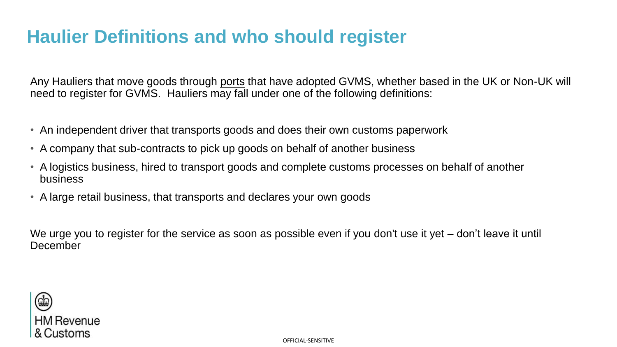# **Haulier Definitions and who should register**

Any Hauliers that move goods through [ports](https://www.gov.uk/guidance/list-of-ports-using-the-goods-vehicle-movement-service) that have adopted GVMS, whether based in the UK or Non-UK will need to register for GVMS. Hauliers may fall under one of the following definitions:

- An independent driver that transports goods and does their own customs paperwork
- A company that sub-contracts to pick up goods on behalf of another business
- A logistics business, hired to transport goods and complete customs processes on behalf of another business
- A large retail business, that transports and declares your own goods

We urge you to register for the service as soon as possible even if you don't use it yet – don't leave it until **December** 

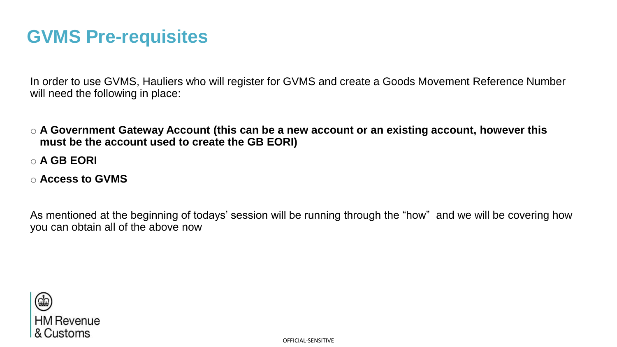# **GVMS Pre-requisites**

In order to use GVMS, Hauliers who will register for GVMS and create a Goods Movement Reference Number will need the following in place:

- o **A Government Gateway Account (this can be a new account or an existing account, however this must be the account used to create the GB EORI)**
- o **A GB EORI**
- o **Access to GVMS**

As mentioned at the beginning of todays' session will be running through the "how" and we will be covering how you can obtain all of the above now

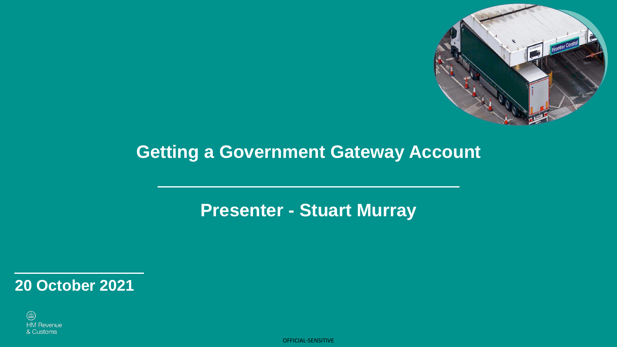

# **Getting a Government Gateway Account**

# **Presenter - Stuart Murray**

**20 October 2021**

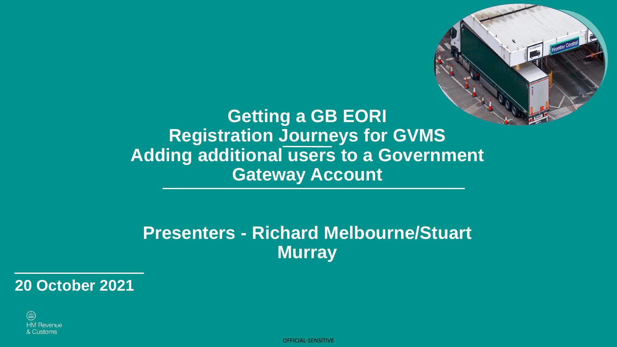

**Getting a GB EORI Registration Journeys for GVMS Adding additional users to a Government Gateway Account**

### **Presenters - Richard Melbourne/Stuart Murray**

**20 October 2021**

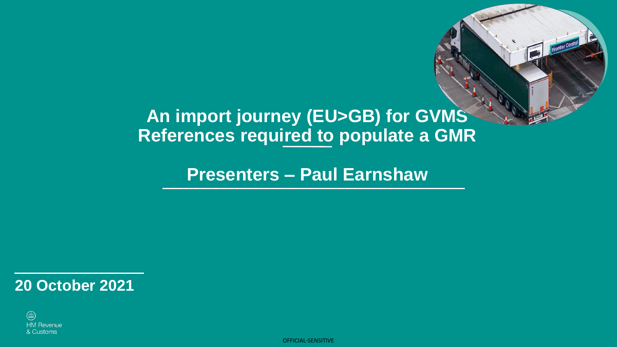# **An import journey (EU>GB) for GVMS References required to populate a GMR**

Frontier Control

**Presenters – Paul Earnshaw**

**20 October 2021**

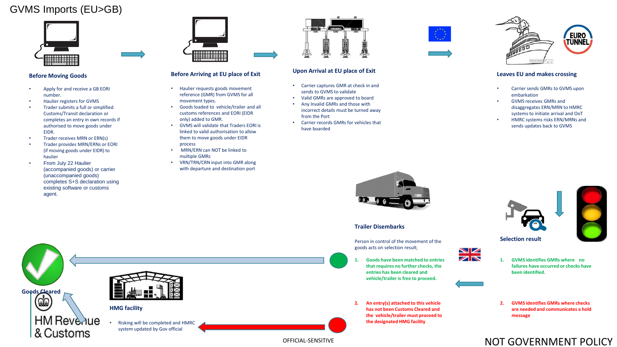#### GVMS Imports (EU>GB)



#### **Before Moving Goods**

- Apply for and receive a GB EORI number.
- Haulier registers for GVMS
- Trader submits a full or simplified Customs/Transit declaration or completes an entry in own records if authorised to move goods under EIDR.
- Trader receives MRN or ERN(s)
- Trader provides MRN/ERNs or EORI (if moving goods under EIDR) to haulier
- From July 22 Haulier (accompanied goods) or carrier (unaccompanied goods) completes S+S declaration using existing software or customs agent.

& Customs



#### **Before Arriving at EU place of Exit**

- Haulier requests goods movement reference (GMR) from GVMS for all movement types.
- Goods loaded to vehicle/trailer and all customs references and EORI (EIDR only) added to GMR.
- GVMS will validate that Traders EORI is linked to valid authorisation to allow them to move goods under EIDR process
- MRN/ERN can NOT be linked to multiple GMRs
- VRN/TRN/CRN input into GMR along with departure and destination port



#### **Upon Arrival at EU place of Exit**

- Carrier captures GMR at check in and sends to GVMS to validate
- Valid GMRs are approved to board
- Any Invalid GMRs and those with incorrect details must be turned away from the Port
- Carrier records GMRs for vehicles that have boarded





#### **Leaves EU and makes crossing**

- Carrier sends GMRs to GVMS upon embarkation
- GVMS receives GMRs and disaggregates ERN/MRN to HMRC systems to initiate arrival and OoT
- HMRC systems risks ERN/MRNs and sends updates back to GVMS



#### **Trailer Disembarks**

Person in control of the movement of the goods acts on selection result;

- **1. Goods have been matched to entries that requires no further checks, the entries has been cleared and vehicle/trailer is free to proceed.**
- **2. An entry(s) attached to this vehicle has not been Customs Cleared and the vehicle/trailer must proceed to the designated HMG facility**





- **1. GVMS identifies GMRs where no failures have occurred or checks have been identified.**
- **2. GVMS identifies GMRs where checks are needed and communicates a hold message**

#### NOT GOVERNMENT POLICY



system updated by Gov official

OFFICIAL-SENSITIVE



NZ ZN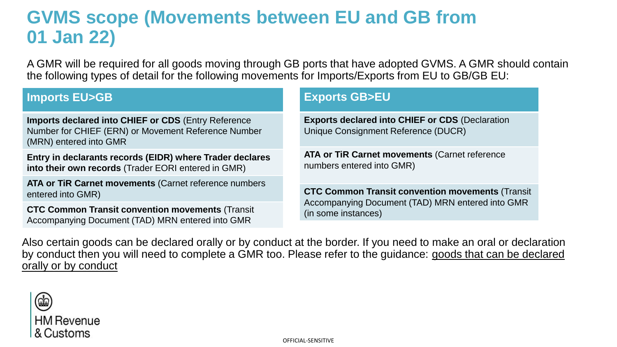# **GVMS scope (Movements between EU and GB from 01 Jan 22)**

A GMR will be required for all goods moving through GB ports that have adopted GVMS. A GMR should contain the following types of detail for the following movements for Imports/Exports from EU to GB/GB EU:

#### **Imports EU>GB**

**Imports declared into CHIEF or CDS** (Entry Reference Number for CHIEF (ERN) or Movement Reference Number (MRN) entered into GMR

**Entry in declarants records (EIDR) where Trader declares into their own records** (Trader EORI entered in GMR)

**ATA or TiR Carnet movements** (Carnet reference numbers entered into GMR)

**CTC Common Transit convention movements** (Transit Accompanying Document (TAD) MRN entered into GMR

#### **Exports GB>EU**

**Exports declared into CHIEF or CDS** (Declaration Unique Consignment Reference (DUCR)

**ATA or TiR Carnet movements** (Carnet reference numbers entered into GMR)

**CTC Common Transit convention movements** (Transit Accompanying Document (TAD) MRN entered into GMR (in some instances)

Also certain goods can be declared orally or by conduct at the border. If you need to make an oral or declaration [by conduct then you will need to complete a GMR too. Please refer to the guidance: goods that can be declared](https://www.gov.uk/government/publications/list-of-goods-applicable-to-oral-and-by-conduct-declarations)  orally or by conduct

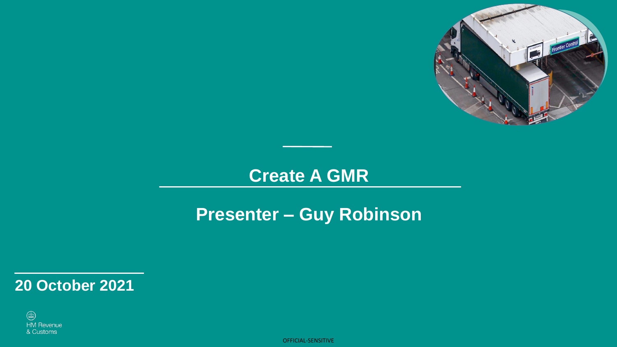

# **Create A GMR**

# **Presenter – Guy Robinson**

### **20 October 2021**

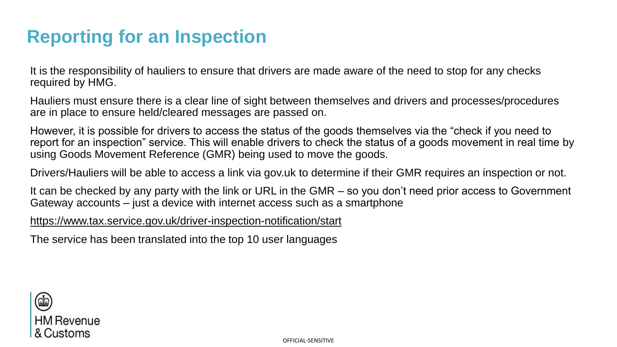# **Reporting for an Inspection**

It is the responsibility of hauliers to ensure that drivers are made aware of the need to stop for any checks required by HMG.

Hauliers must ensure there is a clear line of sight between themselves and drivers and processes/procedures are in place to ensure held/cleared messages are passed on.

However, it is possible for drivers to access the status of the goods themselves via the "check if you need to report for an inspection" service. This will enable drivers to check the status of a goods movement in real time by using Goods Movement Reference (GMR) being used to move the goods.

Drivers/Hauliers will be able to access a link via gov.uk to determine if their GMR requires an inspection or not.

It can be checked by any party with the link or URL in the GMR – so you don't need prior access to Government Gateway accounts – just a device with internet access such as a smartphone

<https://www.tax.service.gov.uk/driver-inspection-notification/start>

The service has been translated into the top 10 user languages

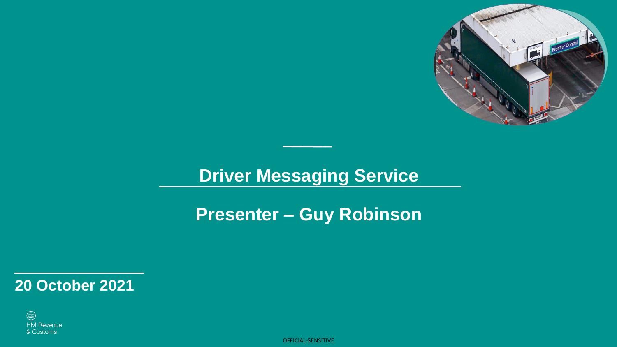

# **Driver Messaging Service**

**Presenter – Guy Robinson**

**20 October 2021**

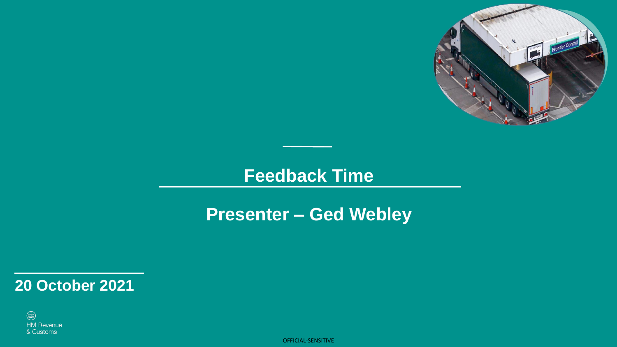

### **Feedback Time**

# **Presenter – Ged Webley**

### **20 October 2021**

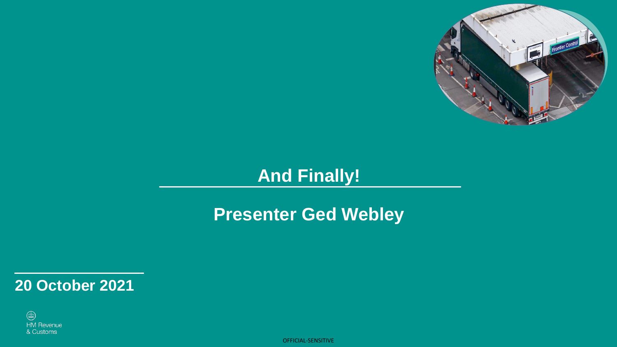

# **And Finally!**

# **Presenter Ged Webley**

**20 October 2021**

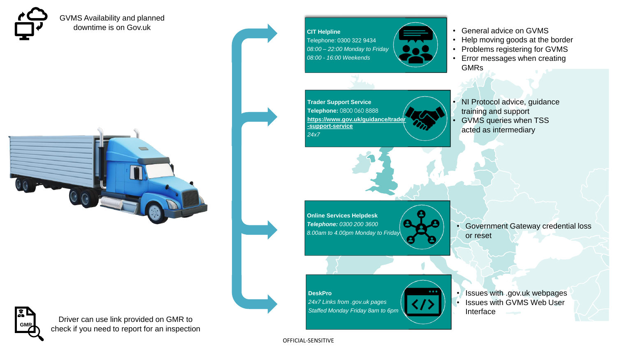

GVMS Availability and planned downtime is on Gov.uk



**CIT Helpline** Telephone: 0300 322 9434 *08:00 – 22:00 Monday to Friday 08:00 - 16:00 Weekends*

**Trader Support Service Telephone:** 0800 060 8888 **[https://www.gov.uk/guidance/trader](https://www.gov.uk/guidance/trader-support-service) -support-service** *24x7*



- Help moving goods at the border
- Problems registering for GVMS
- Error messages when creating GMRs
- NI Protocol advice, guidance training and support
- GVMS queries when TSS acted as intermediary

**Online Services Helpdesk** *Telephone: 0300 200 3600 8.00am to 4.00pm Monday to Friday*

• Government Gateway credential loss or reset

**DeskPro**

*24x7 Links from .gov.uk pages Staffed Monday Friday 8am to 6pm* • Issues with .gov.uk webpages Issues with GVMS Web User Interface



Driver can use link provided on GMR to **GMR** check if you need to report for an inspection